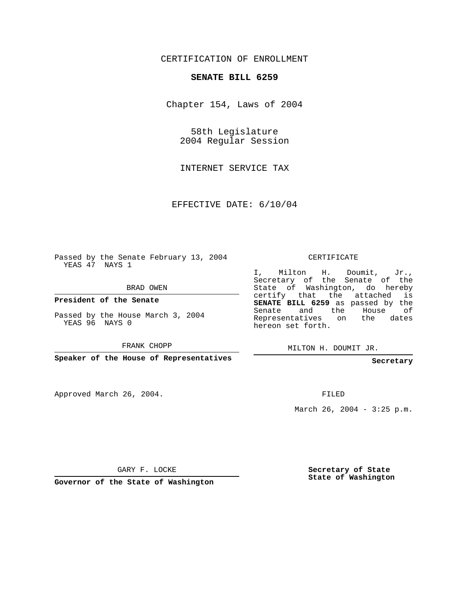## CERTIFICATION OF ENROLLMENT

## **SENATE BILL 6259**

Chapter 154, Laws of 2004

58th Legislature 2004 Regular Session

INTERNET SERVICE TAX

EFFECTIVE DATE: 6/10/04

Passed by the Senate February 13, 2004 YEAS 47 NAYS 1

BRAD OWEN

**President of the Senate**

Passed by the House March 3, 2004 YEAS 96 NAYS 0

FRANK CHOPP

**Speaker of the House of Representatives**

Approved March 26, 2004.

CERTIFICATE

I, Milton H. Doumit, Jr., Secretary of the Senate of the State of Washington, do hereby certify that the attached is **SENATE BILL 6259** as passed by the Senate and the House of Representatives on the dates hereon set forth.

MILTON H. DOUMIT JR.

**Secretary**

FILED

March 26, 2004 - 3:25 p.m.

GARY F. LOCKE

**Governor of the State of Washington**

**Secretary of State State of Washington**